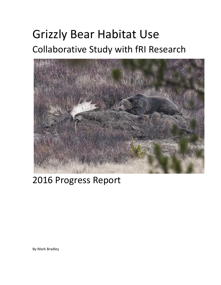# Grizzly Bear Habitat Use Collaborative Study with fRI Research



# 2016 Progress Report

By Mark Bradley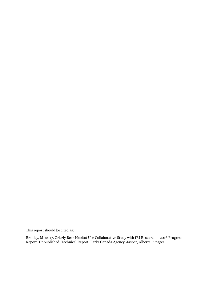This report should be cited as:

Bradley, M. 2017. Grizzly Bear Habitat Use Collaborative Study with fRI Research – 2016 Progress Report. Unpublished. Technical Report. Parks Canada Agency, Jasper, Alberta. 6 pages.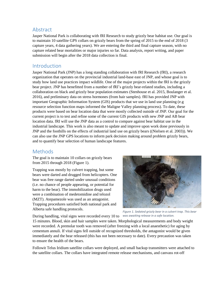#### Abstract

Jasper National Park is collaborating with fRI Research to study grizzly bear habitat use. Our goal is to maintain 10 satellite GPS collars on grizzly bears from the spring of 2015 to the end of 2018 (3 capture years, 4 data gathering years). We are entering the third and final capture season, with no capture related bear mortalities or major injuries so far. Data analysis, report writing, and paper submission will begin after the 2018 data collection is final.

### Introduction

Jasper National Park (JNP) has a long standing collaboration with fRI Research (fRI), a research organization that operates on the provincial industrial land-base east of JNP, and whose goal is to study how land use practices impact wildlife. One of the major projects within the fRI is the grizzly bear project. JNP has benefitted from a number of fRI's grizzly bear-related studies, including a collaboration on black and grizzly bear population estimates (Stenhouse et al. 2015, Boulanger et al. 2016), and preliminary data on stress hormones (from hair samples). fRI has provided JNP with important Geographic Information System (GIS) products that we use in land use planning (e.g resource selection function maps informed the Maligne Valley planning process). To date, these products were based on bear location data that were mostly collected outside of JNP. Our goal for the current project is to test and refine some of the current GIS products with new JNP and AB bear location data. fRI will use the JNP data as a control to compare against bear habitat use in the industrial landscape. This work is also meant to update and improve upon work done previously in JNP and the foothills on the effects of industrial land use on grizzly bears ((Nielsen et al. 2003)). We can also use the JNP GPS locations to inform park decision making around problem grizzly bears, and to quantify bear selection of human landscape features.

## Methods

The goal is to maintain 10 collars on grizzly bears from 2015 through 2018 [\(Figure 1\)](#page-2-0).

Trapping was mostly by culvert trapping, but some bears were darted and drugged from helicopters. One bear was free range darted under unusual conditions (i.e. no chance of people appearing, or potential for harm to the bear). The immobilization drugs used were a combination of medetomidine and telozol (MZT). Atepamezole was used as an antagonist. Trapping procedures satisfied both national park and Alberta safe handling protocols.

<span id="page-2-0"></span>

*Figure 1. Sedated grizzly bear in a culvert trap. This bear was awaiting release in a safe location.*

During handling, vital signs were recorded every 10 to

15 minutes. Blood, skin and hair samples were taken. Morphological measurements and body weight were recorded. A premolar tooth was removed (after freezing with a local anaesthetic) for aging by cementum annuli. If vital signs fell outside of recognized thresholds, the antagonist would be given immediately and the bear released (this has not been necessary to date). Every precaution was taken to ensure the health of the bears.

Followit Telus Iridium satellite collars were deployed, and small backup transmitters were attached to the satellite collars. The collars have integrated remote release mechanisms, and canvass rot-off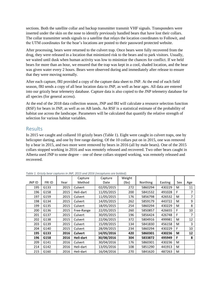sections. Both the satellite collar and backup transmitter transmit VHF signals. Transponders were inserted under the skin on the nose to identify previously handled bears that have lost their collars. The collar transmitter sends signals to a satellite that relays the location coordinates to Followit, and the UTM coordinates for the bear's locations are posted to their password protected website.

After processing, bears were returned to the culvert trap. Once bears were fully recovered from the drug, they were released in a location that minimized risk to the bears and to park visitors. Usually, we waited until dusk when human activity was low to minimize the chances for conflict. If we held bears for more than an hour, we ensured that the trap was kept in a cool, shaded location, and the bear was given water every 2 hours. Bears were observed during and immediately after release to ensure that they were moving normally.

After each capture, fRI provided a copy of the capture data sheet to JNP. At the end of each field season, fRI sends a copy of all bear location data to JNP, as well as bear ages. All data are entered into our grizzly bear telemetry database. Capture data is also copied to the JNP telemetry database for all species (for general access).

At the end of the 2018 data collection season, JNP and fRI will calculate a resource selection function (RSF) for bears in JNP, as well as on AB lands. An RSF is a statistical estimate of the probability of habitat use across the landscape. Parameters will be calculated that quantify the relative strength of selection for various habitat variables.

#### Results

In 2015 we caught and collared 10 grizzly bears [\(Table 1\)](#page-3-0). Eight were caught in culvert traps, one by helicopter darting, and one by free range darting. Of the 10 collars put on in 2015, one was removed by a bear in 2015, and two more were removed by bears in 2016 (all by male bears). One of the 2015 collars stopped working in 2016 and was remotely released and recovered. Two other bears caught in Alberta used JNP to some degree – one of these collars stopped working, was remotely released and recovered.

|        |        |      | Capture        | Capture    | Weight |          |         |     |     |
|--------|--------|------|----------------|------------|--------|----------|---------|-----|-----|
| JNP ID | FRI ID | Year | Method         | Date       | (lbs)  | Northing | Easting | Sex | Age |
| 195    | G133   | 2015 | Culvert        | 02/05/2015 | 272    | 5860294  | 430229  | м   | 11  |
| 196    | G158   | 2015 | Heli-dart      | 11/05/2015 | 200    | 5841532  | 491028  | F.  | 7   |
| 197    | G159   | 2015 | Culvert        | 11/05/2015 | 176    | 5856798  | 426532  | M   | 7   |
| 198    | G134   | 2015 | Culvert        | 14/05/2015 | 262    | 5859179  | 443722  | M   | 9   |
| 199    | G135   | 2015 | Culvert        | 18/05/2015 | 254    | 5860294  | 430229  | M   | 8   |
| 200    | G136   | 2015 | Free-Range     | 22/05/2015 | 260    | 5850857  | 426655  | F   | 10  |
| 201    | G137   | 2015 | Culvert        | 30/05/2015 | 196    | 5856424  | 426748  | F.  | 7   |
| 202    | G138   | 2015 | Culvert        | 22/06/2015 | 372    | 5804916  | 499981  | M   | 12  |
| 203    | G139   | 2015 | Culvert        | 15/09/2015 | 134    | 5841830  | 456158  | M   | 3   |
| 204    | G140   | 2015 | Culvert        | 28/09/2015 | 234    | 5860294  | 430229  | F   | 10  |
| 195    | G133   | 2016 | <b>Culvert</b> | 14/05/2016 | 420    | 5860301  | 430236  | М   | 12  |
| 196    | G158   | 2016 | Heli-dart      | 30/08/2016 | 304    | 5833872  | 495949  | F.  | 8   |
| 209    | G141   | 2016 | Culvert        | 30/04/2016 | 176    | 5860301  | 430236  | M   |     |
| 214    | G142   | 2016 | Heli-dart      | 13/05/2016 | 108    | 5851290  | 441913  | M   |     |
| 215    | G160   | 2016 | Heli-dart      | 16/04/2016 | 270    | 5841620  | 487263  | M   |     |

<span id="page-3-0"></span>*Table 1. Grizzly bear captures in JNP, 2015 and 2016 (recaptures are bolded).*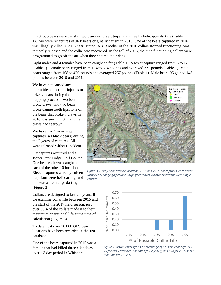In 2016, 5 bears were caught: two bears in culvert traps, and three by helicopter darting [\(Table](#page-3-0)  [1\)](#page-3-0).Two were recaptures of JNP bears originally caught in 2015. One of the bears captured in 2016 was illegally killed in 2016 near Hinton, AB. Another of the 2016 collars stopped functioning, was remotely released and the collar was recovered. In the fall of 2016, the nine functioning collars were programmed to go off the air when they entered their dens.

Eight males and 4 females have been caught so far [\(Table 1\)](#page-3-0). Ages at capture ranged from 3 to 12 [\(Table 1\)](#page-3-0). Female bears ranged from 134 to 304 pounds and averaged 221 pounds [\(Table 1\)](#page-3-0). Male bears ranged from 108 to 420 pounds and averaged 257 pounds [\(Table 1\)](#page-3-0). Male bear 195 gained 148 pounds between 2015 and 2016.

We have not caused any mortalities or serious injuries to grizzly bears during the trapping process. Two bears broke claws, and two bears broke canine tooth tips. One of the bears that broke 7 claws in 2016 was seen in 2017 and its claws had regrown.

We have had 7 non-target captures (all black bears) during the 2 years of captures. All were released without incident.

Six captures occurred at the Jasper Park Lodge Golf Course. One bear each was caught at each of the other 10 locations. Eleven captures were by culvert trap, four were heli-darting, and one was a free range darting [\(Figure 2\)](#page-4-0).

Collars are designed to last 2.5 years. If we examine collar life between 2015 and the start of the 2017 field season, just over 60% of the collars made it to their maximum operational life at the time of calculation [\(Figure 3\)](#page-4-1).

To date, just over 70,000 GPS bear locations have been recorded in the JNP database.

One of the bears captured in 2015 was a female that had killed three elk calves over a 3 day period in Whistlers



<span id="page-4-0"></span>*Figure 3. Grizzly Bear capture locations, 2015 and 2016. Six captures were at the Jasper Park Lodge golf course (large yellow dot). All other locations were single captures.*



<span id="page-4-1"></span>*Figure 2. Actual collar life as a percentage of possible collar life. N = 10 for 2015 captures (possible life = 2 years), and n=4 for 2016 bears (possible life = 1 year).*